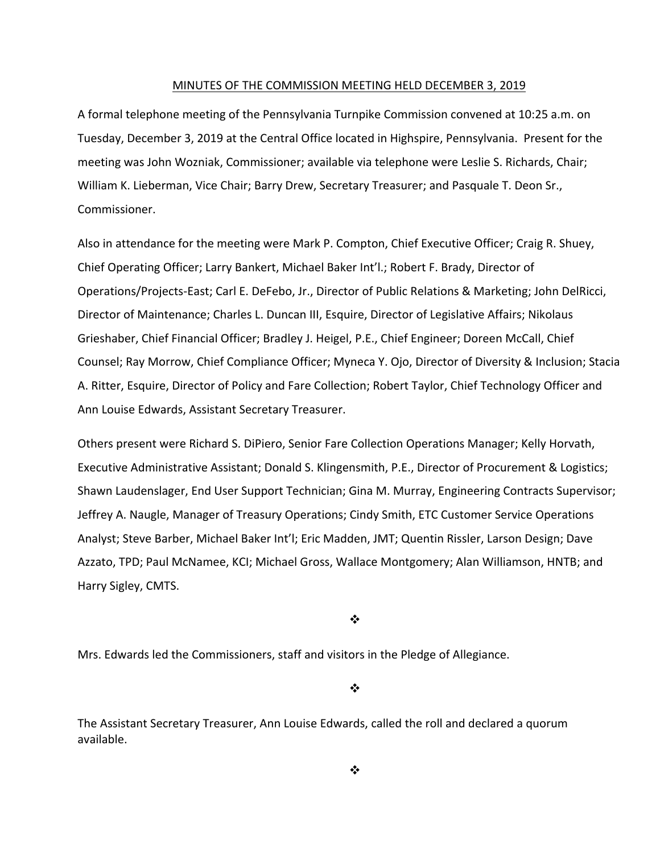#### MINUTES OF THE COMMISSION MEETING HELD DECEMBER 3, 2019

A formal telephone meeting of the Pennsylvania Turnpike Commission convened at 10:25 a.m. on Tuesday, December 3, 2019 at the Central Office located in Highspire, Pennsylvania. Present for the meeting was John Wozniak, Commissioner; available via telephone were Leslie S. Richards, Chair; William K. Lieberman, Vice Chair; Barry Drew, Secretary Treasurer; and Pasquale T. Deon Sr., Commissioner.

Also in attendance for the meeting were Mark P. Compton, Chief Executive Officer; Craig R. Shuey, Chief Operating Officer; Larry Bankert, Michael Baker Int'l.; Robert F. Brady, Director of Operations/Projects‐East; Carl E. DeFebo, Jr., Director of Public Relations & Marketing; John DelRicci, Director of Maintenance; Charles L. Duncan III, Esquire, Director of Legislative Affairs; Nikolaus Grieshaber, Chief Financial Officer; Bradley J. Heigel, P.E., Chief Engineer; Doreen McCall, Chief Counsel; Ray Morrow, Chief Compliance Officer; Myneca Y. Ojo, Director of Diversity & Inclusion; Stacia A. Ritter, Esquire, Director of Policy and Fare Collection; Robert Taylor, Chief Technology Officer and Ann Louise Edwards, Assistant Secretary Treasurer.

Others present were Richard S. DiPiero, Senior Fare Collection Operations Manager; Kelly Horvath, Executive Administrative Assistant; Donald S. Klingensmith, P.E., Director of Procurement & Logistics; Shawn Laudenslager, End User Support Technician; Gina M. Murray, Engineering Contracts Supervisor; Jeffrey A. Naugle, Manager of Treasury Operations; Cindy Smith, ETC Customer Service Operations Analyst; Steve Barber, Michael Baker Int'l; Eric Madden, JMT; Quentin Rissler, Larson Design; Dave Azzato, TPD; Paul McNamee, KCI; Michael Gross, Wallace Montgomery; Alan Williamson, HNTB; and Harry Sigley, CMTS.

❖

Mrs. Edwards led the Commissioners, staff and visitors in the Pledge of Allegiance.

❖

The Assistant Secretary Treasurer, Ann Louise Edwards, called the roll and declared a quorum available.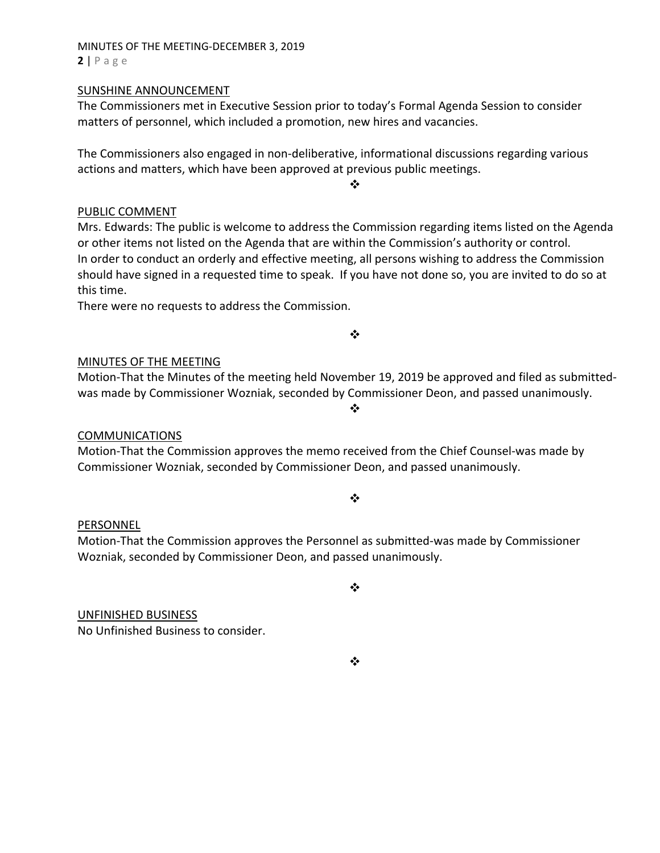#### MINUTES OF THE MEETING‐DECEMBER 3, 2019 **2** | Page

### SUNSHINE ANNOUNCEMENT

The Commissioners met in Executive Session prior to today's Formal Agenda Session to consider matters of personnel, which included a promotion, new hires and vacancies.

The Commissioners also engaged in non‐deliberative, informational discussions regarding various actions and matters, which have been approved at previous public meetings.

### PUBLIC COMMENT

Mrs. Edwards: The public is welcome to address the Commission regarding items listed on the Agenda or other items not listed on the Agenda that are within the Commission's authority or control. In order to conduct an orderly and effective meeting, all persons wishing to address the Commission should have signed in a requested time to speak. If you have not done so, you are invited to do so at this time.

❖

There were no requests to address the Commission.

 $\frac{1}{2}$ 

### MINUTES OF THE MEETING

Motion‐That the Minutes of the meeting held November 19, 2019 be approved and filed as submitted‐ was made by Commissioner Wozniak, seconded by Commissioner Deon, and passed unanimously.

 $\frac{1}{2}$ 

# COMMUNICATIONS

Motion‐That the Commission approves the memo received from the Chief Counsel‐was made by Commissioner Wozniak, seconded by Commissioner Deon, and passed unanimously.

# $\bullet^{\bullet}_{\bullet} \bullet$

# PERSONNEL

Motion‐That the Commission approves the Personnel as submitted‐was made by Commissioner Wozniak, seconded by Commissioner Deon, and passed unanimously.

 $\bullet^{\bullet}_{\bullet} \bullet$ 

UNFINISHED BUSINESS No Unfinished Business to consider.

❖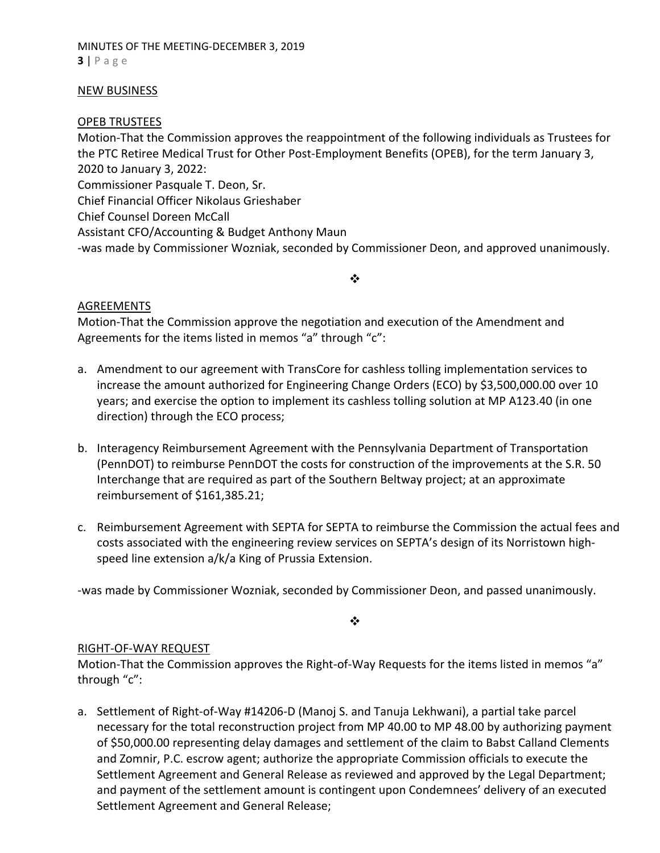### NEW BUSINESS

### OPEB TRUSTEES

Motion‐That the Commission approves the reappointment of the following individuals as Trustees for the PTC Retiree Medical Trust for Other Post‐Employment Benefits (OPEB), for the term January 3, 2020 to January 3, 2022: Commissioner Pasquale T. Deon, Sr. Chief Financial Officer Nikolaus Grieshaber Chief Counsel Doreen McCall

Assistant CFO/Accounting & Budget Anthony Maun

‐was made by Commissioner Wozniak, seconded by Commissioner Deon, and approved unanimously.

#### $\bullet^{\bullet}_{\mathbf{a}^{\bullet}}$

### AGREEMENTS

Motion‐That the Commission approve the negotiation and execution of the Amendment and Agreements for the items listed in memos "a" through "c":

- a. Amendment to our agreement with TransCore for cashless tolling implementation services to increase the amount authorized for Engineering Change Orders (ECO) by \$3,500,000.00 over 10 years; and exercise the option to implement its cashless tolling solution at MP A123.40 (in one direction) through the ECO process;
- b. Interagency Reimbursement Agreement with the Pennsylvania Department of Transportation (PennDOT) to reimburse PennDOT the costs for construction of the improvements at the S.R. 50 Interchange that are required as part of the Southern Beltway project; at an approximate reimbursement of \$161,385.21;
- c. Reimbursement Agreement with SEPTA for SEPTA to reimburse the Commission the actual fees and costs associated with the engineering review services on SEPTA's design of its Norristown high‐ speed line extension a/k/a King of Prussia Extension.

‐was made by Commissioner Wozniak, seconded by Commissioner Deon, and passed unanimously.

 $\bullet^{\bullet}_{\bullet} \bullet$ 

# RIGHT‐OF‐WAY REQUEST

Motion-That the Commission approves the Right-of-Way Requests for the items listed in memos "a" through "c":

a. Settlement of Right‐of‐Way #14206‐D (Manoj S. and Tanuja Lekhwani), a partial take parcel necessary for the total reconstruction project from MP 40.00 to MP 48.00 by authorizing payment of \$50,000.00 representing delay damages and settlement of the claim to Babst Calland Clements and Zomnir, P.C. escrow agent; authorize the appropriate Commission officials to execute the Settlement Agreement and General Release as reviewed and approved by the Legal Department; and payment of the settlement amount is contingent upon Condemnees' delivery of an executed Settlement Agreement and General Release;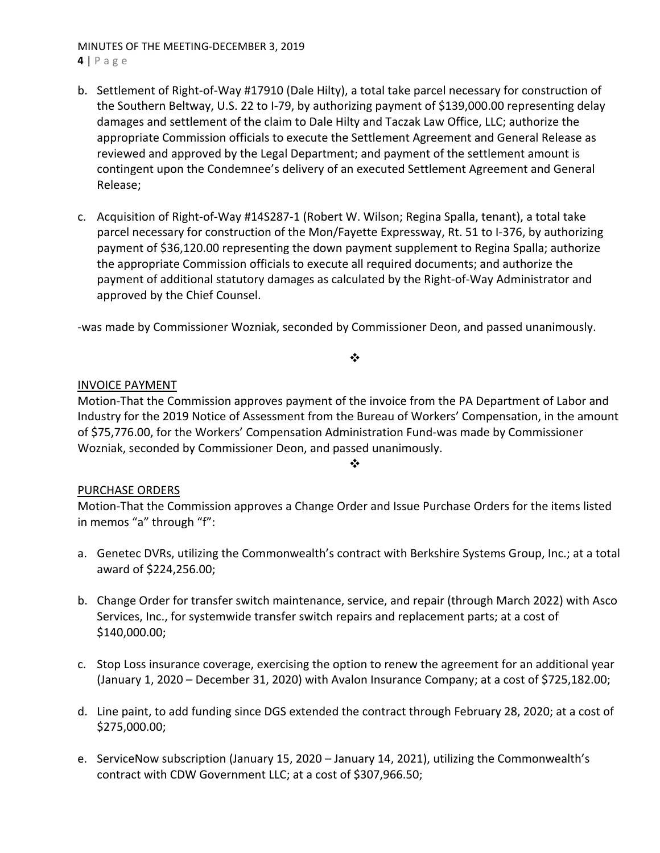MINUTES OF THE MEETING‐DECEMBER 3, 2019

- **4** | Page
- b. Settlement of Right‐of‐Way #17910 (Dale Hilty), a total take parcel necessary for construction of the Southern Beltway, U.S. 22 to I‐79, by authorizing payment of \$139,000.00 representing delay damages and settlement of the claim to Dale Hilty and Taczak Law Office, LLC; authorize the appropriate Commission officials to execute the Settlement Agreement and General Release as reviewed and approved by the Legal Department; and payment of the settlement amount is contingent upon the Condemnee's delivery of an executed Settlement Agreement and General Release;
- c. Acquisition of Right‐of‐Way #14S287‐1 (Robert W. Wilson; Regina Spalla, tenant), a total take parcel necessary for construction of the Mon/Fayette Expressway, Rt. 51 to I‐376, by authorizing payment of \$36,120.00 representing the down payment supplement to Regina Spalla; authorize the appropriate Commission officials to execute all required documents; and authorize the payment of additional statutory damages as calculated by the Right‐of‐Way Administrator and approved by the Chief Counsel.

‐was made by Commissioner Wozniak, seconded by Commissioner Deon, and passed unanimously.

# $\frac{1}{2}$

# INVOICE PAYMENT

Motion‐That the Commission approves payment of the invoice from the PA Department of Labor and Industry for the 2019 Notice of Assessment from the Bureau of Workers' Compensation, in the amount of \$75,776.00, for the Workers' Compensation Administration Fund‐was made by Commissioner Wozniak, seconded by Commissioner Deon, and passed unanimously.

❖

# PURCHASE ORDERS

Motion‐That the Commission approves a Change Order and Issue Purchase Orders for the items listed in memos "a" through "f":

- a. Genetec DVRs, utilizing the Commonwealth's contract with Berkshire Systems Group, Inc.; at a total award of \$224,256.00;
- b. Change Order for transfer switch maintenance, service, and repair (through March 2022) with Asco Services, Inc., for systemwide transfer switch repairs and replacement parts; at a cost of \$140,000.00;
- c. Stop Loss insurance coverage, exercising the option to renew the agreement for an additional year (January 1, 2020 – December 31, 2020) with Avalon Insurance Company; at a cost of \$725,182.00;
- d. Line paint, to add funding since DGS extended the contract through February 28, 2020; at a cost of \$275,000.00;
- e. ServiceNow subscription (January 15, 2020 January 14, 2021), utilizing the Commonwealth's contract with CDW Government LLC; at a cost of \$307,966.50;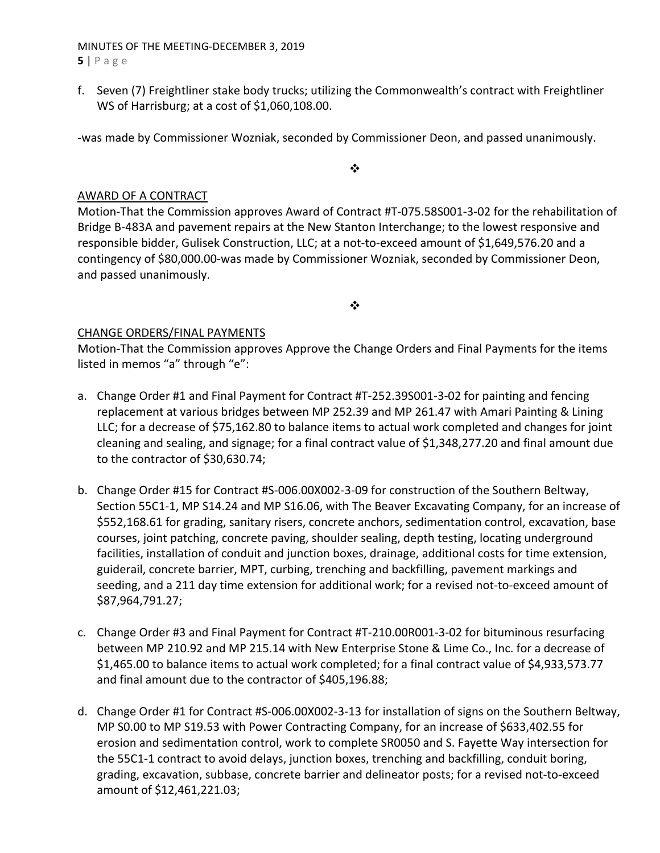### MINUTES OF THE MEETING‐DECEMBER 3, 2019 **5** | Page

f. Seven (7) Freightliner stake body trucks; utilizing the Commonwealth's contract with Freightliner WS of Harrisburg; at a cost of \$1,060,108.00.

‐was made by Commissioner Wozniak, seconded by Commissioner Deon, and passed unanimously.

# ❖

# AWARD OF A CONTRACT

Motion‐That the Commission approves Award of Contract #T‐075.58S001‐3‐02 for the rehabilitation of Bridge B‐483A and pavement repairs at the New Stanton Interchange; to the lowest responsive and responsible bidder, Gulisek Construction, LLC; at a not‐to‐exceed amount of \$1,649,576.20 and a contingency of \$80,000.00‐was made by Commissioner Wozniak, seconded by Commissioner Deon, and passed unanimously.

### $\bullet \bullet$

# CHANGE ORDERS/FINAL PAYMENTS

Motion‐That the Commission approves Approve the Change Orders and Final Payments for the items listed in memos "a" through "e":

- a. Change Order #1 and Final Payment for Contract #T‐252.39S001‐3‐02 for painting and fencing replacement at various bridges between MP 252.39 and MP 261.47 with Amari Painting & Lining LLC; for a decrease of \$75,162.80 to balance items to actual work completed and changes for joint cleaning and sealing, and signage; for a final contract value of \$1,348,277.20 and final amount due to the contractor of \$30,630.74;
- b. Change Order #15 for Contract #S‐006.00X002‐3‐09 for construction of the Southern Beltway, Section 55C1‐1, MP S14.24 and MP S16.06, with The Beaver Excavating Company, for an increase of \$552,168.61 for grading, sanitary risers, concrete anchors, sedimentation control, excavation, base courses, joint patching, concrete paving, shoulder sealing, depth testing, locating underground facilities, installation of conduit and junction boxes, drainage, additional costs for time extension, guiderail, concrete barrier, MPT, curbing, trenching and backfilling, pavement markings and seeding, and a 211 day time extension for additional work; for a revised not‐to‐exceed amount of \$87,964,791.27;
- c. Change Order #3 and Final Payment for Contract #T‐210.00R001‐3‐02 for bituminous resurfacing between MP 210.92 and MP 215.14 with New Enterprise Stone & Lime Co., Inc. for a decrease of \$1,465.00 to balance items to actual work completed; for a final contract value of \$4,933,573.77 and final amount due to the contractor of \$405,196.88;
- d. Change Order #1 for Contract #S‐006.00X002‐3‐13 for installation of signs on the Southern Beltway, MP S0.00 to MP S19.53 with Power Contracting Company, for an increase of \$633,402.55 for erosion and sedimentation control, work to complete SR0050 and S. Fayette Way intersection for the 55C1‐1 contract to avoid delays, junction boxes, trenching and backfilling, conduit boring, grading, excavation, subbase, concrete barrier and delineator posts; for a revised not‐to‐exceed amount of \$12,461,221.03;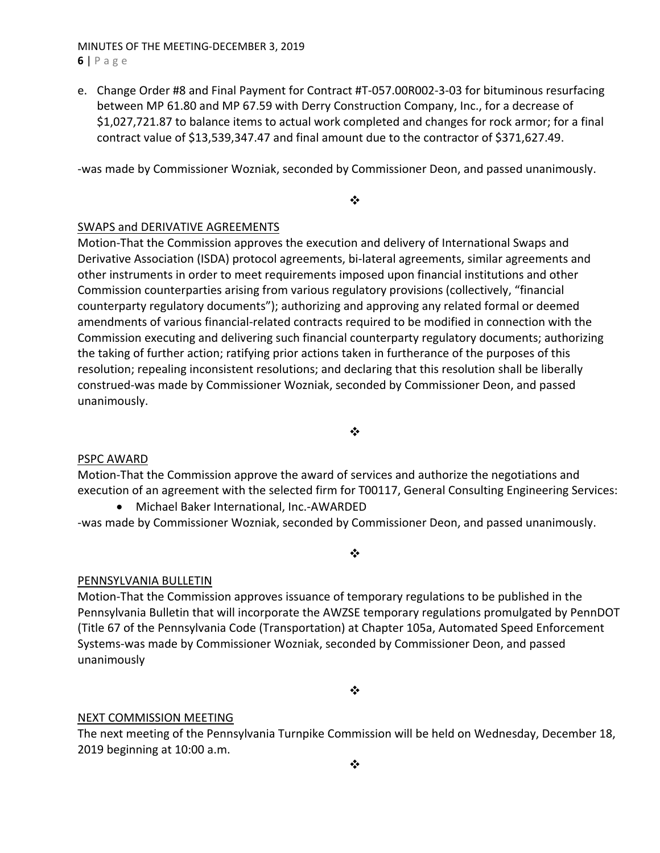### MINUTES OF THE MEETING‐DECEMBER 3, 2019 **6** | Page

e. Change Order #8 and Final Payment for Contract #T‐057.00R002‐3‐03 for bituminous resurfacing between MP 61.80 and MP 67.59 with Derry Construction Company, Inc., for a decrease of \$1,027,721.87 to balance items to actual work completed and changes for rock armor; for a final contract value of \$13,539,347.47 and final amount due to the contractor of \$371,627.49.

‐was made by Commissioner Wozniak, seconded by Commissioner Deon, and passed unanimously.

❖

# SWAPS and DERIVATIVE AGREEMENTS

Motion‐That the Commission approves the execution and delivery of International Swaps and Derivative Association (ISDA) protocol agreements, bi-lateral agreements, similar agreements and other instruments in order to meet requirements imposed upon financial institutions and other Commission counterparties arising from various regulatory provisions (collectively, "financial counterparty regulatory documents"); authorizing and approving any related formal or deemed amendments of various financial‐related contracts required to be modified in connection with the Commission executing and delivering such financial counterparty regulatory documents; authorizing the taking of further action; ratifying prior actions taken in furtherance of the purposes of this resolution; repealing inconsistent resolutions; and declaring that this resolution shall be liberally construed‐was made by Commissioner Wozniak, seconded by Commissioner Deon, and passed unanimously.

 $\bullet^{\bullet}_{\bullet} \bullet$ 

# PSPC AWARD

Motion‐That the Commission approve the award of services and authorize the negotiations and execution of an agreement with the selected firm for T00117, General Consulting Engineering Services:

● Michael Baker International, Inc.-AWARDED

‐was made by Commissioner Wozniak, seconded by Commissioner Deon, and passed unanimously.

# PENNSYLVANIA BULLETIN

Motion‐That the Commission approves issuance of temporary regulations to be published in the Pennsylvania Bulletin that will incorporate the AWZSE temporary regulations promulgated by PennDOT (Title 67 of the Pennsylvania Code (Transportation) at Chapter 105a, Automated Speed Enforcement Systems‐was made by Commissioner Wozniak, seconded by Commissioner Deon, and passed unanimously

 $\bullet^{\bullet}_{\mathbf{a}^{\bullet}}$ 

❖

# NEXT COMMISSION MEETING

The next meeting of the Pennsylvania Turnpike Commission will be held on Wednesday, December 18, 2019 beginning at 10:00 a.m.